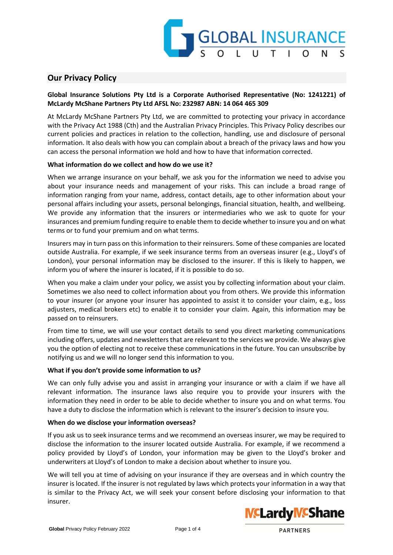

# **Our Privacy Policy**

# **Global Insurance Solutions Pty Ltd is a Corporate Authorised Representative (No: 1241221) of McLardy McShane Partners Pty Ltd AFSL No: 232987 ABN: 14 064 465 309**

At McLardy McShane Partners Pty Ltd, we are committed to protecting your privacy in accordance with the Privacy Act 1988 (Cth) and the Australian Privacy Principles. This Privacy Policy describes our current policies and practices in relation to the collection, handling, use and disclosure of personal information. It also deals with how you can complain about a breach of the privacy laws and how you can access the personal information we hold and how to have that information corrected.

## **What information do we collect and how do we use it?**

When we arrange insurance on your behalf, we ask you for the information we need to advise you about your insurance needs and management of your risks. This can include a broad range of information ranging from your name, address, contact details, age to other information about your personal affairs including your assets, personal belongings, financial situation, health, and wellbeing. We provide any information that the insurers or intermediaries who we ask to quote for your insurances and premium funding require to enable them to decide whether to insure you and on what terms or to fund your premium and on what terms.

Insurers may in turn pass on this information to their reinsurers. Some of these companies are located outside Australia. For example, if we seek insurance terms from an overseas insurer (e.g., Lloyd's of London), your personal information may be disclosed to the insurer. If this is likely to happen, we inform you of where the insurer is located, if it is possible to do so.

When you make a claim under your policy, we assist you by collecting information about your claim. Sometimes we also need to collect information about you from others. We provide this information to your insurer (or anyone your insurer has appointed to assist it to consider your claim, e.g., loss adjusters, medical brokers etc) to enable it to consider your claim. Again, this information may be passed on to reinsurers.

From time to time, we will use your contact details to send you direct marketing communications including offers, updates and newsletters that are relevant to the services we provide. We always give you the option of electing not to receive these communications in the future. You can unsubscribe by notifying us and we will no longer send this information to you.

## **What if you don't provide some information to us?**

We can only fully advise you and assist in arranging your insurance or with a claim if we have all relevant information. The insurance laws also require you to provide your insurers with the information they need in order to be able to decide whether to insure you and on what terms. You have a duty to disclose the information which is relevant to the insurer's decision to insure you.

#### **When do we disclose your information overseas?**

If you ask us to seek insurance terms and we recommend an overseas insurer, we may be required to disclose the information to the insurer located outside Australia. For example, if we recommend a policy provided by Lloyd's of London, your information may be given to the Lloyd's broker and underwriters at Lloyd's of London to make a decision about whether to insure you.

We will tell you at time of advising on your insurance if they are overseas and in which country the insurer is located. If the insurer is not regulated by laws which protects your information in a way that is similar to the Privacy Act, we will seek your consent before disclosing your information to that insurer.

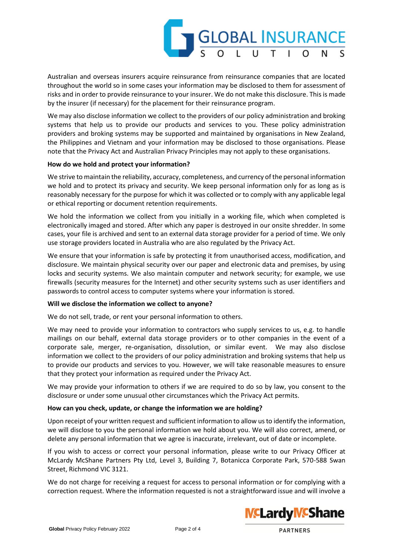

Australian and overseas insurers acquire reinsurance from reinsurance companies that are located throughout the world so in some cases your information may be disclosed to them for assessment of risks and in order to provide reinsurance to your insurer. We do not make this disclosure. This is made by the insurer (if necessary) for the placement for their reinsurance program.

We may also disclose information we collect to the providers of our policy administration and broking systems that help us to provide our products and services to you. These policy administration providers and broking systems may be supported and maintained by organisations in New Zealand, the Philippines and Vietnam and your information may be disclosed to those organisations. Please note that the Privacy Act and Australian Privacy Principles may not apply to these organisations.

### **How do we hold and protect your information?**

We strive to maintain the reliability, accuracy, completeness, and currency of the personal information we hold and to protect its privacy and security. We keep personal information only for as long as is reasonably necessary for the purpose for which it was collected or to comply with any applicable legal or ethical reporting or document retention requirements.

We hold the information we collect from you initially in a working file, which when completed is electronically imaged and stored. After which any paper is destroyed in our onsite shredder. In some cases, your file is archived and sent to an external data storage provider for a period of time. We only use storage providers located in Australia who are also regulated by the Privacy Act.

We ensure that your information is safe by protecting it from unauthorised access, modification, and disclosure. We maintain physical security over our paper and electronic data and premises, by using locks and security systems. We also maintain computer and network security; for example, we use firewalls (security measures for the Internet) and other security systems such as user identifiers and passwords to control access to computer systems where your information is stored.

## **Will we disclose the information we collect to anyone?**

We do not sell, trade, or rent your personal information to others.

We may need to provide your information to contractors who supply services to us, e.g. to handle mailings on our behalf, external data storage providers or to other companies in the event of a corporate sale, merger, re-organisation, dissolution, or similar event. We may also disclose information we collect to the providers of our policy administration and broking systems that help us to provide our products and services to you. However, we will take reasonable measures to ensure that they protect your information as required under the Privacy Act.

We may provide your information to others if we are required to do so by law, you consent to the disclosure or under some unusual other circumstances which the Privacy Act permits.

## **How can you check, update, or change the information we are holding?**

Upon receipt of your written request and sufficient information to allow us to identify the information, we will disclose to you the personal information we hold about you. We will also correct, amend, or delete any personal information that we agree is inaccurate, irrelevant, out of date or incomplete.

If you wish to access or correct your personal information, please write to our Privacy Officer at McLardy McShane Partners Pty Ltd, Level 3, Building 7, Botanicca Corporate Park, 570-588 Swan Street, Richmond VIC 3121.

We do not charge for receiving a request for access to personal information or for complying with a correction request. Where the information requested is not a straightforward issue and will involve a

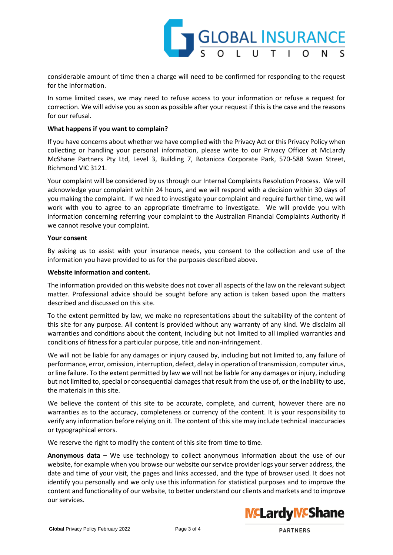

considerable amount of time then a charge will need to be confirmed for responding to the request for the information.

In some limited cases, we may need to refuse access to your information or refuse a request for correction. We will advise you as soon as possible after your request if this is the case and the reasons for our refusal.

### **What happens if you want to complain?**

If you have concerns about whether we have complied with the Privacy Act or this Privacy Policy when collecting or handling your personal information, please write to our Privacy Officer at McLardy McShane Partners Pty Ltd, Level 3, Building 7, Botanicca Corporate Park, 570-588 Swan Street, Richmond VIC 3121.

Your complaint will be considered by us through our Internal Complaints Resolution Process. We will acknowledge your complaint within 24 hours, and we will respond with a decision within 30 days of you making the complaint. If we need to investigate your complaint and require further time, we will work with you to agree to an appropriate timeframe to investigate. We will provide you with information concerning referring your complaint to the Australian Financial Complaints Authority if we cannot resolve your complaint.

### **Your consent**

By asking us to assist with your insurance needs, you consent to the collection and use of the information you have provided to us for the purposes described above.

### **Website information and content.**

The information provided on this website does not cover all aspects of the law on the relevant subject matter. Professional advice should be sought before any action is taken based upon the matters described and discussed on this site.

To the extent permitted by law, we make no representations about the suitability of the content of this site for any purpose. All content is provided without any warranty of any kind. We disclaim all warranties and conditions about the content, including but not limited to all implied warranties and conditions of fitness for a particular purpose, title and non-infringement.

We will not be liable for any damages or injury caused by, including but not limited to, any failure of performance, error, omission, interruption, defect, delay in operation of transmission, computer virus, or line failure. To the extent permitted by law we will not be liable for any damages or injury, including but not limited to, special or consequential damages that result from the use of, or the inability to use, the materials in this site.

We believe the content of this site to be accurate, complete, and current, however there are no warranties as to the accuracy, completeness or currency of the content. It is your responsibility to verify any information before relying on it. The content of this site may include technical inaccuracies or typographical errors.

We reserve the right to modify the content of this site from time to time.

**Anonymous data –** We use technology to collect anonymous information about the use of our website, for example when you browse our website our service provider logs your server address, the date and time of your visit, the pages and links accessed, and the type of browser used. It does not identify you personally and we only use this information for statistical purposes and to improve the content and functionality of our website, to better understand our clients and markets and to improve our services.